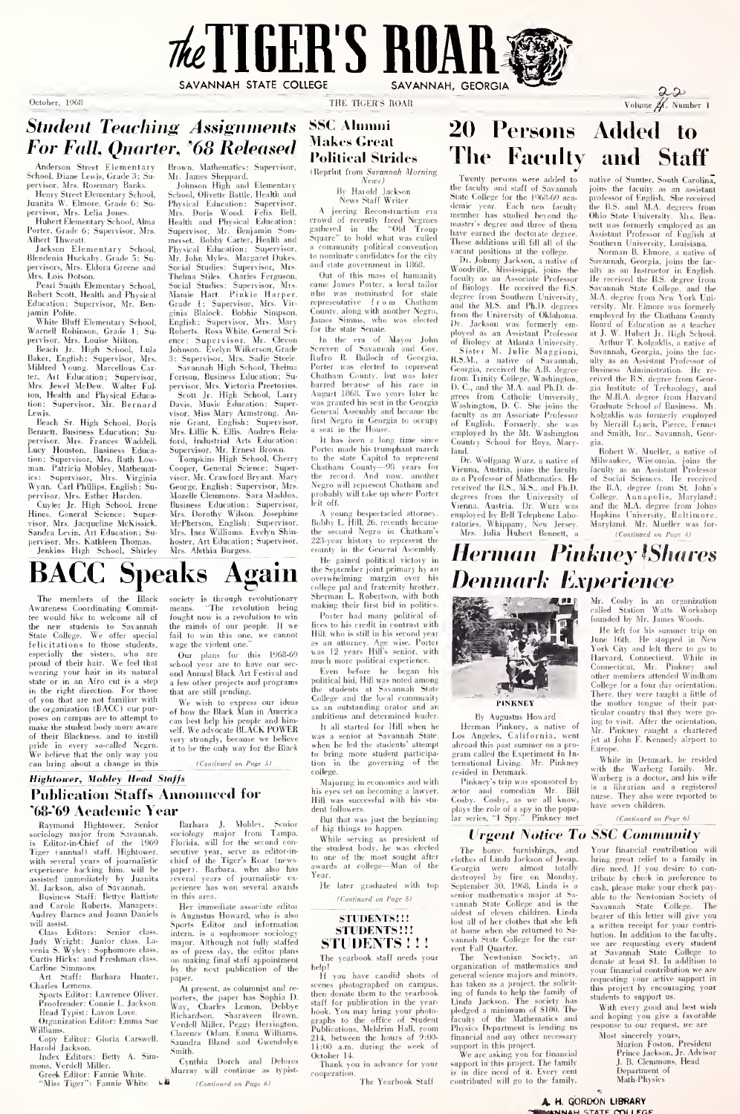

Student Teaching Assignments For Fall, Quarter, '68 Released

Anderson Street Elementary School. Diane Lewis. Grade 3; Su-pervisor, Mrs. Rosemary Banks. Henry Street Elementary School,

Juanita W. Elmore, Grade 6: Su-pervisor, Mrs. Lelia Jones. Hubert Elementary School, Alma Porter, Grade 6: Supervisor. Mrs.

Albert Thweatt.<br>Jackson Elementary School, Physiolage<br>Blendenia Huckaby, Grade 5: Su-Mr<br>pervisors, Mrs. Eldora Greene and Sor<br>Mrs. Lois Dotson.<br>Pearl Smith Elementary School, Sor<br>Pearl Smith Elementary School,

Pearl Smith Elementary School. Robert Scott, Heallh and Physical Education: Supervisor, Mr. Ben-

jamin Polite. White Bluff Elementary School. Warnell Robinson. Grade 1; Su-pervisor. Mrs. Louise Milton. Beach Jr. High School, Lula

Baker, English ; Supervisor, Mrs. Mildred Young. Marcellous Carter, Art Education; Supervisor, Fort<br>Mrs. Jewel McDew. Walter Ful- perv<br>ton, Health and Physical Educa- Se<br>tion: Supervisor, Mr. Bernard Davi

Lewis. Beach Sr. High School, Doris Bennett, Business Education: Su- – Wi<br>pervisor, Mrs. Frances Waddell. – fot<br>Lucy Houston, Business Educa- – Su tion; Supervisor, Mrs. Ruth Low-<br>man. Patricia Mobley, Mathemat- - Co ics: Supervisor, Mrs. Virginia vis<br>Wynn. Carl Phillips, English; Su-<br>pervisor, Mrs. Esther Harden.<br>Cayler Jr. High School, Irene Ba<br>Hines, General Science; Super- Mi

Unyer Jr. High School, Irene Visor, Mrs. Jacqueline McKissick. Mr<br>Visor, Mrs. Jacqueline McKissick. Mc<br>Sandra Levin. Art Education; Su- Mr<br>pervisor. Mrs. Kathleen Thomas. hoog<br>Jenkins High School, Shirley Mi

BACC Speaks Again

Brown, Mathematics; Supervisor,

Mr. James Shep|»ard. Johnson High and Elementary School, Olivette Battle, Health and Phvsical Education: Supervisor, Mrs. Doris Wood. Felix Bell, Health and Physical Education Supervisor, Mr. Benjamin Som-<br>Reposed Robert (Health and Supervisor, a experience March Mr. Mr. Mr. Mr. Mr. Mr. Mr. Mr. Som and Mr. Som and Mr. Some March Supervisor, Mrs. and Some Some March Supervisor, Mrs. Com Some Marc ginia Blalock. Bobhie Simpson, Cou<br>English: Supervisor, Mrs. Mary Jam<br>Roberts. Rosa-White, General Sci- <sup>for</sup> ence : Supervisor. Mr. Clevon Johnson. Evelyn Wilkerson, Grade

3: Supervisor, Mrs. Sadie Steele, But<br>Savannah High School, Thelma Por Fortson. Business Education; Su-pervisor, Mrs. Victoria Preetorius. Scott Jr. High School, Larry Davis, Music Education: Super-visor, Miss Mary Armstrong. Annie Grant, English: Supervisor, 711<br>Mrs. Lillie K. Ellis. Andrew Rela- – a ford, Industrial Arts Education; Supervisor. Mr. Ernest Brown. Tompkins High School, Cherry

Cooper, General Science: Super- - Cha<br>visor, Mr. Crawford Bryant. Mary - the George. English: Supervisor, Mrs.<br>Mozelle Clemmons. Sara Maddox. Mozelle Clemmons. Sara Maddox, pro<br>Business Education; Supervisor, Mrs.<br>Mrs. Dorothy Wilson. Josephine<br>Mrs. Dorothy English: Supervisor, Bob<br>Mrs. Inez Williams. Evelyn Shin- the hoster. Art Education; Supervisor, Mrs. Alethia Burgess.

## SSC Alumni **Makes Great** Political Strides

(Reprint from Savannah Morning

\'i-IV.S )By Harold Jackson News Staff Writer

News Staff Writer<br>
A jeering Reconstruction era cheese<br>
crowd of recently freed Negroes<br>
gathered in the "Old Troup that gathered in the "Old Troup <sub>haw</sub><br>Square" to hold what was called The a community political convention to nominate candidates for the city

and state government in 1868. Out of this mass of humanity came James Porter, a local tailor came James Porter, a local tailor who was nominated for state degree<br>who was nominated for state and representative from Chatham County, along with another Negro.<br>James Simms, who was elected  $\frac{1}{10}$ <br>for the state Senate.

In the era of Mayor John in the Correlation Chemeter Washington Rafton Rafton Rafton Rafton Chemeter Washington Channel Chemeter Washington Liberal Correlation Chemeter Mayor Schafe (The Schaper Juber)<br>Chathaan County, but General Assembly and became the first Negro in Georgia to occupy a seat in the House.<br>It has been a long time since

It has been a long time since Porter made his trumphant march<br>to the state Capitol to represent<br> $\Gamma$  Chatham County—98 years for Vie<br>Negro will represent Chatham and<br>probably will take up where Porter<br>probably will take up left off.<br>A young bespectacled attorney

A young bespectacled attorney. Bobby L. Hill, 26, recently became the second Negro in Chatham's - 2<br>223-year history to represent the - \_ county in the General Assembly.

He gained political victory in the September joint primary by an overwhelming margin over his college pal and fraternity brother, Sherman L. Robertson, with both making their first bid in politics.

Porter had many political of- fices to his credit in contrast with making there had many political of<br>First both contrast with  $\begin{bmatrix} 1 & 0 & 0 \\ 0 & -1 & 0 \\ 0 & 0 & 0 \end{bmatrix}$  in the second year. This second year<br>Hill, who is still in his second year. Peter of the state of the state<br>as an attemp as an attorney. Age wise. Porter was 12 years Hill's senior, with much more political experience.

Even before he began his political bid. Hill was noted among the students at Savannah State College and the local community as an outstanding orator and an

It all started for Hill when he was a senior at Savannah State, Lo<br>when he led the students' attempt – ab was a senior at Savannah State, Lo<br>when he led the students' attempt a ab<br>tion in the governing of the technical<br>tion in the governing of the technical college.

Majoring in economics and willi his eyes set on becoming a lawyer. Hill was successful with his stu dent followers.

But that was just the beginning of big things to happen. While serving as president of

the student body, he was elected<br>to one of the most sought after and awards at college—Man of the  $\rm _G$ Year. He later graduated with top

(ConlinueJ on f'age S/

## STUDENTS!!!<br>STUDENTS!!! STUDENTS!!!

The yearbook staff needs vour

At present, as columnist and re-<br>
porters, the paper has Sophia D. Way, Charles Lemon, Debbye<br>
Richardson, Sharaveen Brown.<br>
Verdell Miller. Peggy Ilerrington. The<br>
Clarence Odom. Emma Williams.<br>
Saundra Bland and Gwendoly Smith.<br>Cynthia Dorch and Delores Oc. rip:<br>If you have candid shots of If you have candid shots of<br>senses photographed on campus, has<br>then donate them to the yearbook ing<br>tastf for publication in the year<br>book. You may bring your photo-pled<br>graphs to the office of Student face<br>Tablications, M 214:00 a.m. during the week of support in this project<br>October 14.

October 14. Thank you in advance for your cooperation. The Yearbook Staff

20 Persons Added to The Faculty and Staff

Twenty persons were added to until<br>the faculty and staff of Savannah point<br>State College for the 1968-69 aca- pro<br>demic year. Each new faculty the<br>member has studied beyond the Ohi memore nos source neyont the have earned the doctorate degree. These additions will fill all of the

vacant positions at the college.<br>
Dr. Johnny Jackson, a native of Sav<br>
Woodville. Mississippi, joins the<br>
faculty as an Associate Professor<br>
of Biology. He received the B.S. Sav<br>
of Biology. He received the B.S. degree from Southern University,  $M$ .<br>and the M.S. and Ph.D. degrees vers<br>from the University of Oklahoma. emp<br>Dr. Jackson was formerly em-Bos<br>ployed as an Assistant Professor at J of Biologv at Atlanta University. Sister M. Julie Maggioni, R.S.M., a native of Savannah, Georgia, received the A.B. degree Bus<br>from Trinity College, Washington, recincity. D.C., and the M.A. and Ph.D. degrees<br>frees from Catholic University, the Washington, D.C. She joins the Gra<br>faculty as an Associate Profess Country School for Boys. Mary-

Dr. Wolfgang Wurz, a Dr. Wolfgang Wurz, a native of Mi<br>Vienna, Austria, joins the faculty – fac as a Professor of Mathematics. He received the B.S., M.S., and Ph.D. the<br>degrees from the University of Col<br>Vienna, Austria. Dr. Wurz was and<br>employed by Bell Telephone Labo- Hoj ratories, Whippany, New Jersey, Mrs. Julia Hubert Bennett, a

Twenty persons were added to native of Suntter, South Carolina native of Sumter. South Carolina, joins the faculty as an assistant professor of English, She received the B.S. and M.A. degrees from Ohio State University. Mrs. Ben-nett was formerly employed as an Assistant Professor of English at

Southern University, Louisiana.<br>
Sources and Interaction and Commun Certainers, an interaction of the<br>
like as an Interaction of the BS. degree from the SS. degree from<br>
Societies College, and the BS. degree from the SS.

ceived the B.S. degree from Geor-gia Institute of Technology, and the M.B.A. degree from Harvard Grndunte School of Business. Mr. Kolgaklis was formerly employed by Merrill Lynch, Pierce, Fenner and Smith, Inc., Savannah, Georgia.<br>gia.<br>Robert W. Mueller, a native of

Robert W. Nueller, a native of<br>Milwaukee, Wisconsin, joins the<br>faculty as an Assistant Professor<br>of Social Sciences. He received<br>the B.A. degree from St. John's<br>College, Annapolis, Maryland;<br>and the M.A. degree from Johns Hopkins L'niversity, Baltimore, Maryland. Mr. Mueller was for- (Conlinudi on Page 4)

# Herman Pinkney ^Shares Denmark Experience<br>Experience of the Content of Suite Wars

Mr. Costry in an organization<br>called Station Watts Workshop<br>founded by Mr. James Woods.

ralied Station Watts Workshop<br>June 16th for his summer trip on<br>June 16th. He stopped in New<br>York City and left there to go to<br>York City and left there to go to<br>Harvard, Connecticut, While in<br>Connecticut, Mr. Pinkney and other members attended Windham College for a lour day orientation.<br>There. they were taught a little of<br>the mother tongue of their par-<br>ticular country that they were go-<br>ing to visit. After the orientation, Mr. Pinkney caught a chartered jet at John F. Kennedy airport to

Europe. While in Denmark, he resided with the Warberg family. Mr.<br>Warberg is a doctor, and his wife<br>is a librarian and a registered<br>nurse. They also were reported to have seven children.

### (Continued on Page 6)

Vour financial contribution will bring great relief to a family in dire need. If you desire to con-<br>tribute by check in preference to cash, please make your check pay-able to the Newtonian Society of Savannah State College. The bearer of this letter will give you a written receipt for your contri-<br>hution. In addition to the faculty bution. !n addition to the faculty, we are requesting every student at Savannah Slate College to donate at least SI. In addition to your financial contribution we are requesting your active support in<br>this project by encouraging your students to support us.

With every good and best w and hoping you give a favorable response to our request, we are

Most sincerely yours,<br>Marion Foston, President<br>Prince Jackson, Jr. Advisor<br>J. B. Clemmons, Head<br>Department of<br>Math-Physics

A H. GORDON LIBRARY

# poses on campus are to attempt to<br>make the student body more aware self<br>of their Blackness, and to instill pre-<br>pride in every so-called Negro. We believe that the only way you<br>can bring about a change in this

the organization (BACC) our pur-

# Publication Staffs Annonnced for

 $\begin{tabular}{l|c|c|c|c|c|c|c} \textbf{R} \textbf{S} \textbf{p} \textbf{a} \textbf{b} \textbf{b} \textbf{c} \textbf{b} \textbf{c} \textbf{c} & \textbf{Schbaran} & \textbf{J}_1 \textbf{b} \textbf{b} \textbf{b} \textbf{b} \textbf{c} & \textbf{f} \textbf{b} \textbf{c} \textbf{c} \textbf{c} & \textbf{f} \textbf{c} \textbf{b} \textbf{c} \textbf{c} \textbf{c} \textbf{c} & \textbf{f} \textbf{c} \textbf{$ sociology major from Savannah with several years of journalistic – ch<br>experience backing him. will be – pa

Carline Simmons.<br>Charles Lemons.<br>Charles Lemons.<br>Sports Editor: Lawrence Oliver.<br>Proofreader: Connie L. Jackson. Head<br>Proofreader: Connie L. Jackson. Head<br>Organization Editor: Emma Sue<br>V.

mons. Verdell Miller.<br>Greek Editor: Fannie White. Marr.<br>"Miss Tiger": Fannie White. i-B

Tile members of the Black Awareness Coordinating Commit-tee would like to welcome all of the new students to Savannah State College. We offer special society is through revolutionary<br>means. 'The revolution being means. "The revolution being mathematic winds of our people. If we fire<br>the minds of our people. If we fire<br>fail to win this one, we cannot Hill<br>wage the violent one."

felicitations to those students, was<br>especially the sisters, who are proud of their hair. We feel that scheening your hair in its natural<br>on the vearing your hair in its natural on<br>in the right direction. For those has in the right direction. For those of you that are not familiar with Our plans for this 1968-69 was<br>school year are to have our sec- mus<br>ond Annual Black Art Festival and F a few other projects and programs that are still pending.

We wish to express our ideas  $\frac{648}{100}$  as  $\frac{88}{100}$ can best help his people and him-self. We advocate BLACK POWER can best nerp ms propic and bun-<br>self. We advocate BLACK POWER<br>very strongly, because we believe where the only way for the Black to

(ConlinueJ on f'ligc 5}

Murray will continue as typist "onhnued on Pug<: 6)

Hightower, Mobley Head Staffs

**'68-'69 Academic Year**<br>Raymond Hightower. Senior is Editor-in-Chief of the 1969 Flo<br>Tiger (annual) staff. Hightower. sect

assisted immediately by Juanita rev<br>M. Jackson, also of Savannah.<br>Business Staff: Bettye Battiste<br>and Carole Roberts. Managers: Audrey Barnes and Joann Daniels<br>Audrey Barnes and Joann Daniels is

will assist.<br>Class Editors: Senior class. Int<br>Judy Wright: Junior class, La-<br>venia S. Wyley: Sophomore class. as<br>Curtis Hicks: and Freshman class. an m this area.<br>
Her immediate associate editor<br>
is Augustus Howard, who is also<br>
Sports Editor and information<br>
mitern. is a sophemore sociology<br>
mayor. Although not fully staffed<br>
as of press day, the editor plans<br>
on makin

Williams. Cla<br>Copy Editor: Gloria Carswell. – Sat<br>Harold Jackson. Index Editors: Betty A. Sim-

## ambitious and determined leader. By Augustus<br>It all started for Hill when he Herman Pinkney By Augustus Howard<br>man Pinkney, a native of Los Angeles, California, by Augustus ruotuvar<br>Herman Finkney, a native of Mr.<br>Los Angeles, California, went<br>dabroad this past summer on a pro- gram<br>gram called the Experiment In In- termational Living. Mr. Pinkney with<br>resided in Denmark.

**PINKNEY** 

Urgent Notice To SSC Community

The home, furnishings, and Yo<br>clothes of Linda Jackson of Jesup. hri Georgia were almost totally dire<br>destroyed by fire on Monday. trib<br>September 30, 1968. Linda is a <sub>ensl</sub> senior mathematics major at Sa- <sub>ab</sub><br>vannah State College and is the <sub>Sa</sub> oldest of eleven children. Linda lost all of her clothes that she left

general science majors and minors, the solicity in<br>has taken as a project, the solicity in this case in the family of<br>ing of funds to help the family of this<br>Linda Jackson. The society has<br>beedged a minimum of S100. The fa

support in this project.<br>
We are asking you for financial<br>support in this project. The family<br>is in dire need of it. Every cent<br>contributed will go to the family.

at one when she returned to Sa-<br>tot all of her clothes that she left<br>at home when she returned to Sa-<br>vannah State College for the cur-<br>rent Fall Quarter.<br>The Newtonian Society, and<br>organization of mathematics and

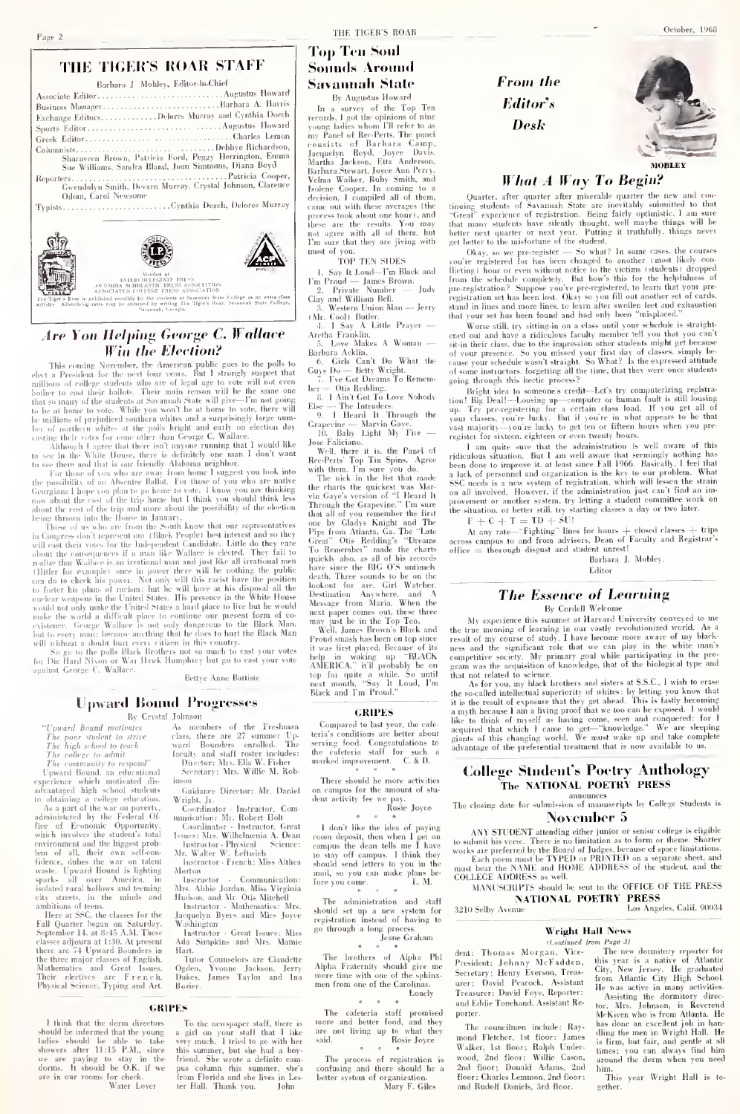Typists

### THE TIGER'S ROAR

## **Top Ten Soul Sounds Around Savannah State**

In a survey of the Top Ten<br>records. I got the opinions of nine



THE TIGER'S ROAR STAFF

Barbara J Mobley, Editor-in-Chief

## Are You Helping George C. Wallace Win the Election?

This country the American public ages to the political spectrum of the spectrum of the spectrum of the spectrum of the spectrum of the spectrum of the spectrum of the spectrum of the spectrum of the spectrum of the spectr

real on the control of the specific properties. The control of the specific properties of the specific properties of the specific properties of the value of the specific properties of the value of the specific properties realize that Walber is an irreducinal mean and just the such<br>transport in (1) lifely for example) once in power there will be such<br>that the public can do to check his power. Not easy that the such takes<br>the position to fo make the world a difficult place to continue our existence. George Wallace is not only dangerous our present form of coto the Black evidence. George Wallace is not only diagerous to the Black Man<br>hal to every man: because anything that he does to hurt the Black Man<br>will without a doubt hurt every erizer in this country.<br>For pick of South Hard Nissan of

Bettye Anne Battiste

### **Upward Bound Progresses** By Crystal Johnson

"Upward Bound motivate.

- The poor student to strive<br>The high school to teach<br>The college to admit
- 

*The coltrege to admit to respond*<br>The community to respond<br>Toward Bound, an educational<br>experience which motivated dis-<br>advantaged high school studients<br>to obtaining a college education.<br>Assumed the war on poerty,

inistered by the Federal Of-<br>of Economic Opportunity. fire of Economic Opportunny<br>which involves the student's total which involves the student's total<br>environment and the higgest prob-<br>lem of all, their own self-con-<br>fidence, dulues the war on talent<br>waste. Upward Bound is lighting sparks parks all over America. in<br>solated rural hollows and teeming streets, in the minds and city mittions of teens.<br>Here at SSC, the classes for the

Figure and Polen on Saturday.<br>September 14, at 8:45 A.M. These classes adjourn at 1:30. At present<br>there are 74 Upward Bounders in<br>the three major classes of English. Mathematics and Great Issues.<br>Their electives are French.<br>Physical Science, Typing and Art.

I think that the dorm director should be informed that the young<br>ladies should be able to take<br>showers after 11:15 P.M., since snowers after 11:10 F.M., since<br>we are paying to stay in the<br>dorms. It should be O.K. if we are in our rooms for check.<br>Water Lover

As members of the Exclusion As members of the Freshman Up<br>class, there are 27 summer Up<br>ward Bounders enrolled. The<br>faculty and staff roster includes:<br>Director: Alts. Elia W. Fisher<br>Se-retary: Mrs. Willie M. Rob-

Guidance Director: Mr. Daniel

Wright, Jr. right, Jr.<br>Coordinator - Instructor, Com

Coordinater - Instructor, Communication : M1. Robert Holt<br>Coordinator - Instructor, Great<br>Issues: Mrs. Wilhelmenia A. Dean<br>Instructor - Physical<br>Nr. Walter W. Leftwich

structor - French: Miss Althea  $Morton$ 

 $<sub>l</sub>$  instructor</sub> Communication

Instructor - Communication:<br>Mrs. Abbie Jordan, Miss Virginia<br>Hudson, and Mr. Otis Mitchell<br>Instructor - Mathematics: Mrs.<br>Jacquelyn Byers and Miss Joyce  $\frac{1}{2}$ 

vasningcon<br>- Instructor - Great Issues: Miss<br>\da Simpkins and Mrs. Mamic Hart

Hart<br>- Tutor Counselors are Claudette<br>- Ogden, Yvonne Jackson, Jerry<br>- Dukes, James Taylor and Ina **Rosier** 

### CRIPES

To the newspaper staff, there is<br>a girl on your staff that I like<br>very much. I tried to go with her<br>this summer, but she had a hoy-<br>triend. She wrote a definite cannot<br>wise column this summer, she will pus column this summer, she's<br>from Florida and she lives in Les-<br>ter Hall. Thank you. John From the Editor's Desk



October, 1968

## **What A Way To Begin?**

 $\label{eq:2} \begin{array}{ll} \textbf{Quatter, after quatter after misetable quater the new and co-} \\ \textbf{time states of a  
variance of the system, State are inevitably submitted to that the \\ ``Geag''-eigen'' coefficients of registration. Being 'fit' optimization, use that name students have students are quater or next year. Putting it truthfully, things never get better to the misforture of the subcrit. \\ \end{array}$ 

get better the initial<br>variety the studiestic and causes the courses of the studies of the results<br>of the law location of the studies of the studies of the studies of the<br>studies of the studies of the studies of the studi

Worse still, try sitting in on a class until your schedule is straight-<br>ened out and have a ridiculous faculty member tell you that you can't<br>sit in their class, due to the impression offer students might get because sit-in their class, due to the impression other students implified to our presence. So you missed your first day of classes, simply because your schedule wasn't straight. So What? Is the expressed attitude of some instructors, forgetting all the time, that they were once students going through this hectic process?

going through this hecker precess of eventualized by computerizing registration [Fig.Deal]—Lousing ore compared the last of the specific preceding the specific specific specific specific specific specific specific specific

regions in statement experiment of even twenty bouts.<br>The simulation is well aware of this circle local and the submitted on is well aware to the<br>been done to improve it. at least since Fall 1966. Basically, Johing has<br>be a lat. b of personnel and organization is the Key to our pronom. What SSC needs is a new system of registration, which will lessen the strain on all involved. However, if the administration just can't find an improvement o

 $F + C + T = TD + SU!$ 

At any rate—"Fighting" lines for hours  $+$  closed classes  $+$  trips across campus to and from advisors. Dean of Faculty and Registrar's office  $=$  thorough disgust and student unres!

Barbara J. Mobley. Editor

### **The Essence of Learning** By Cordell Welcome

My experience this summer at Harvard University conveyed to a My experience this summer at Harvard University conveyed to meet<br>the line time meaning of learning in our vessly revolutionized world. As a<br>result of my course of such, Thave heceme more aware of my black-<br>measured in mea that not related to science

that not related to science.<br>As for you, my black brothers and sisters at S.S.C., I wish to erase<br>the so-called intellectual superiority of whites: by letting you know that<br>it is the result of erapsure that they get ahead. a mym. precase 1 am a novng proot that we too can be exposed. I would<br>like to think of myself as having come, seen and conquered: for 1<br>acquired that which I came to get—"knowledge." We are sleeping<br>alms of this changing w

### **College Student's Poetry Anthology** The NATIONAL POETRY PRESS

announces<br>The closing date for submission of manuscripts by College Students is November 5

ANY STUDENT attending either junior or senior college is eligible AN STUDENT alternating other pum<br>one of sensor college is equivalent in the sense of the state<br> $\sim$  to substitute and the sense of the state<br>of the state person mast her PIFED or PRINTED on a separate sheet, and for<br> $\sim$ 

**NATIONAL POETRY PRESS** 

Los Angeles, Calif. 90034 3210 Selby Avenue

### **Wright Hall News** of and inned from Page 31

dent: Thomas Morgan, Vice-President; Johnny McFadden, Secretary; Henry Everson, Treas-<br>urer; David Peacock, Assistant Treasurer: David Fove, Reporter: and Eddie Tonchand, Assistant Reporter

The councilnen include: Rayand Fletcher, 1st floor: James Walker, 1st floor; Ralph Under-<br>wood. 2nd floor: Willie Cason. 2nd floor; Donald Adams, 2nd floor: Charles Lemmon, 2nd floor:<br>and Rudolf Daniels, 3rd floor. The new dormitory reporter for<br>this year is a native of Atlantic The new dormitory re this year is a native of Atlantic<br>City, New Jersey. He graduated<br>from Atlantic City High School<br>He was active in many activities<br>Assisting the dormitory direct

tor, Mrs. Johnson, is Reverent H. has done an excellent job in han-<br>dling the men in Wright Hall. He is firm, but fair, and gentle at all<br>times; you can always find him<br>around the dorm when you need him

...<br>This year Wright Hall is to method

t don't fike the joes of paying<br>room deposit, then when I get or<br>campus the dean tells me I have stay off campus. I think they should send letters to you in th mail, so you can make plans be  $\frac{\text{mean}}{\text{fore you come}}$ . L M

Jesne Graham

The brothers of Alpha Phi<br>Alpha Fraternity should give me more time with one of the suhinx men from one of the Caroli

contusting mar incre shown in<br>better system of organization.<br>Mary F. Giles

5. Love Makes A Woman —<br>Barbara Acklin.<br>6. Girls Can't Do What the<br>Guys Do — Betty Wright.<br>7. I've Got Dreams To Remem-

Grangeville — Martin Gayer, 1981<br> 1982 - The Barry Counter (1982)<br> 1984 - Robert Prince Harton, 1984 - Robert Prince Translation<br> 1985 - Robert Prince Translation (1988)<br> 1985 - Robert Barry Translation (1988)<br> 1985 - Rob

Proud smash has been on top since it was first played. Because of its<br>holy in waking ny "RLACK tt was tirst played. Because of its<br>help in waking up "BLACK<br>AMERICA." it'll probably be on<br>top for quite a while. So until<br>next month, "Say It Loud, I'm<br>Black and I'm Proud."

**GRIPES** Compared to last year, the cafe-<br>teria's conditions are better about<br>serving food. Congratulations to<br>the cafeteria staff for such a for such<br>t. C. & D. the cateteria sum ...<br>marked improvement.

There should be more activities on campus for the amount of student activity fee we pay.<br>Rosie Joyce

I don't like the idea of paying

The administration and staff should set up a new system for<br>registration instead of having to<br>go through a long process.

Lonely

The process of registration is<br>onfusing and there should be a

Odom, Carol Newsome

## By Augustus Howard ......Barbara A. Harris

young ladies whom FII refer to as<br>my Panel of Rec-Perts. The panel<br>consists of Barhara Camp, my Panel of Re-Perers, ane panel<br>roanists of Barhara Camp,<br>Jacquelyn Royd, Joyce Davis.<br>Martha Jackson, Etta Anderson,<br>Barhara Newart, Joyce Ann Perry.<br>Velma Walker, Buby Smith, and<br>Jsolene Cooper. In coming to a<br>decision, came out with these averages (the process took about one he these are the results. You may not agree with all of them, hut most of you.

TOP TEN SIDES

Say It Loud-Fm Black and 1. Say It Loud-1-Tm Back and<br>
2. Frivate Number -- Judy<br>
2. Frivate Number -- Judy<br>
Clay and William Bell.<br>
3. Western Union Man -- Jerry<br>
(Mr. Cool) Buler.<br>
4. 1. Say A Little Prayer --<br>
Archa Franklin.

na rransum.<br>- Love Makes A Woman --

1 ve tot Dreamen<br>
her — Otis Redding,<br>
8, 1 Ain't Got To Love Nobody<br>
8, 1 Hera'l It Through the<br>
9, 1 Hera'l It Through the<br>
Craperine — Marvin Gaye,<br>
10, Bahy Light My Fire —

next paper comes out, these three<br>may just he in the Top Ten.<br>Well, James Brown's Black and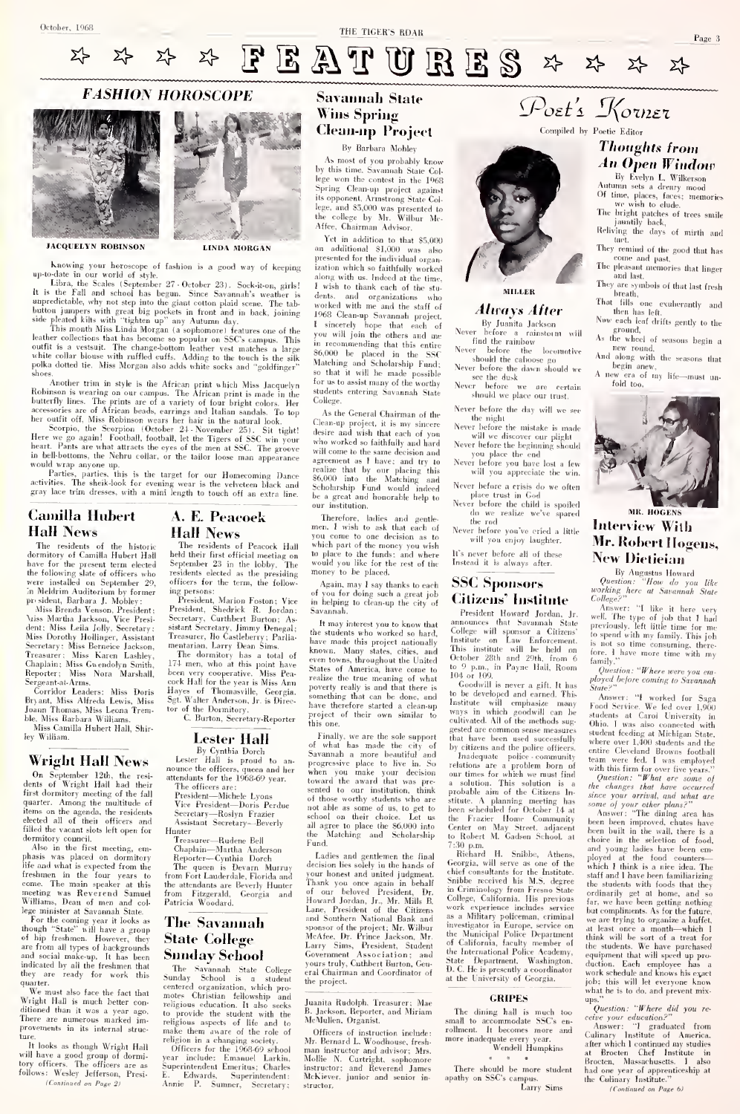

## **FASHION HOROSCOPE**





JACQUELYN ROBINSON LINDA MORGAN

Notonia y tour hereaccept of Indiana is a good way of keeping into the particle in our sensitivity. The controller intervals of the sensitivity of the sensitivity in the sensitivity of the sensitivity of the sensitivity o

Monder this in step is the African print which Miss Jacquelyn for the Robinson is versing on our control.<br>The Kinsin principal state of the Colembul and the Colembul and the Colembul and the Colembul and the Colembul and

in bell-bottoms, the Nehru collar, or the tailor loose man appearance would wrap anyone up.

Parties, parties, this is the target for our Homecoming Dance activities. The sheik-look for evening wear isthe velveteen black and gray lace trim dresses, with <sup>a</sup> mini length to touch off an extra line.

## Camilla Hubert Hall News

The residents of the historic<br>dormitory of Camilla Hubert Hall be have for the present term elected - >ep<br>the following slate of officers who - resi<br>were installed on September 29, - offi in Meldrim Auditorium by former<br>prosident, Barbara J. Moblev:

pr- sident, Barbara J.Mobley: Miss Brenda Venson, President; ^nss Martha Jackson, Vice Presi- dent: Miss Leila Jolly, Secretary: Miss Dorothy Hollinger, Assistant Ir<br>Secretary: Miss Berneice Jackson, me<br>Treasurer; Miss Karen Lashley,<br>Chaplain: Miss Gwendolyn Smith, 17<br>Reporter; Miss Nora Marshall, <sup>be</sup> Sergeant-at-Arms. Corridor Leaders: Miss Doris

Bryant, Miss Alfreda Lewis, Miss - <sup>5g)</sup><br>Joann Thomas, Miss Leona Trem- <sup>tor</sup> ble, Miss Barbara Williams. ss Camilla Hubert Hall, Shir-

ley William.

## Wright Hall News

On September 12th, the resi-<br>dents of Wright Hall had their<br>first dormitory meeting of the fall<br>quarter. Among the multitude of items on the agenda, the residents elected all of their officers and filled the vacant slots left open for

dormitory council. Also in the first meeting, emphasis (vas placed on dormitory life and what is expected from the freshmen in the four years to from<br>come. The main speaker at this the<br>meeting was Reverend Samuel from Williams, Dean of men and col- lege minister at Savannah State.

For the coming year it looks as<br>tough "State" will have a group though "State" will have a group<br>of hip freshmen. However, they  $S$ and social make-up. It has been<br>indicated by all the freshmen that<br>they are ready for work this quarter.<br>We must also face the fact that

\^'e must also face the fact that Wright Hall is much better con-ditioned than it was a year ago. There are numerous marked im provements in its internal struc-

It looks as though Wright Hall It looks as though Wright Hall<br>Will have u good group of dormi-<br>tory officers. The officers are as follows: Wesley Jefferson, Presi-<br> $\frac{C}{C}$ (Continued on Page 2)

## A. E. Peacock

Hall News<br>
The residents of Peacock Hall which<br>
held their first official meeting on September 23 in the lobby. The<br>
september 23 in the lobby. The local model<br>
officers for the term, the follow-<br>
ing persons:<br>
ing persons

Fresident, Marion Foston; Vice in Bresident, Shedrick R. Jerdan; Savasitat Seretary, Carthbert Burton; Assnitstat Seretary, Immy Denegal; the Treasurer, Jlo Castleberry; Parila-<br>meatarian, Lory Denegal; the Treasurer, Jlo

been very cooperative. Miss Peacock Hall for the year is Miss Ann<br>Hayes of Thomasville, Georgia.<br>Sgt. Walter Anderson, Jr. is Direc-Sgt. Walter Anderson, Jr. is Direc-<br>tor of the Dormitory.<br>C. Burton, Secretary-Reporter Fig.

Lester Hall<br>By Cynthia Dorch<br>Lester Hall is proud to an-<br>nounce the officers, queen and her<br>attendants for the 1968-69 year.

The officers are:<br>
President—Michele Lyons on<br>
Vice President—Doris Perdue<br>
Secretary—Roslyn Frazier<br>
Assistant Secretary—Beverly al<br>Assistant Secretary—Beverly al<br>
Hunter

Treasurer—Rudene Bell Chaplain—Martha Anderson Reporter—Cynthia Dorch The queen is Devarn Murruy from Fort Lauderdale. Florida and the attendants are Beverly Hunter from Fitzgerald, Georgia and Patricia Woodard.

## The Savannah State College

 $\begin{tabular}{l|c|c|c|c} \hline \textbf{S} & \textbf{S} & \textbf{color} & \textbf{C} & \textbf{C} \\ \hline \textbf{S} & \textbf{S} & \textbf{color} & \textbf{C} & \textbf{S} \\ \hline \textbf{S} & \textbf{S} & \textbf{S} & \textbf{D} & \textbf{S} & \textbf{color} & \textbf{C} \\ \hline \textbf{S} & \textbf{S} & \textbf{S} & \textbf{D} & \textbf{S} & \textbf{color} & \textbf{C} \\ \hline \textbf{centered organization, which pro-  
erstered organization, which pro$ 

## Savannah State Wins Spring Clean-up Project By Barbara Mobley

As most of you probably know by this time. Savannah State Col-lege won the contest in tlie 1968 Spring Clean-up project against its opponent, Armstrong State College, and S5,fl0() was presented to tlu- college by Mr. Wilbur Me-Affee, Chairman Advisor.

Yet in addition to that §5,000 additional SL000 was also presented for the individual organization which so faithfully worked ization which so faithfully worked along with us. Indeed at the time. <sup>I</sup> wish to thank each of the stu- dents, and organizations who worked with me and the staff of 1968 Clean-up Savannah project, <sup>1</sup> sincerely hope that each of you will join the others and me in recommending that this entire S6,000 be placed in the SSC Matching and Scholarship Fund;<br>so that it will be made possible<br>for us to assist many of the worthy<br>students entering Savannah State students entering Savannah Stat College<sup>1</sup>

As the General Chairman of the Ulean-up project, it is my sincere Ne<br>desire and wish that each of you who worked so faithfully and hard will come to the same decision and agreement as I have; and try realize that by our placing this S6,000 into the Matching and Scholarship Fund would indeed be a great and honorable help to institution.

Therefore, ladies and gentle-<br>men, I wish to ask that each of N men. I wish to ask that each of Never<br>which part of the money you wish which part of the money you wish<br>to place to the funds; and where<br>would you like for the rest of the Ins money to be placed.

Again, may <sup>I</sup> say thanks to each of you for doing such a great job in helping to clean-up the city of Savannah.

It may interest you to know that <sup>an</sup><br>the students who worked so hard, have made this project nationally the<br>known. Many states, cities, and Thi even towns, throughout the United<br>States of America, have come to states of America, have come to realize the true meaning of what<br>poverty really is and that there is the<br>something that can be done, and have therefore started <sup>a</sup> clean-up project of their own similar to

this one.<br>Finally, we are the sole support<br>of what has made the city of Finally, we are the sole support that of which has made the crity of by<br>progressive place to like the crity of the property place to live in<br>. So related the critical and the state of the sole of the state<br>of when you mad

Ladies and gentlemen the final<br>decision lies solely in the hands of decision lies solely in the hands of the<br>your honest and united judgment. <br>Thank you once again in behalf Sm<br>for our beloved President, Dr. in<br>Howard Jordan, Jr., Mr. Mills B.<br>Lane, President of the Citizens wou<br>and Southe sponsor of the project: Mr. Wilbur<br>McAfee, Dr. Prince Jackson, Mr.<br>Larry Sims, President, Student Government Association ; and the Government Association; and<br>yours truly, Cuthbert Burton, Genral Chairman and Coordinator of the project.

Juanita Rudolph. Treasurer; Mae<br>B. Jackson. Reporter, and Miriam Tł McMullen. Organist.

Officers of instruction include: Mr. Bernard L. Woodhouse, fresh man instructor and advisor; Mrs. Mollie N. Curtright. sophomore instructor: and Reverend James McKiever. junior and senior structor.



## Always After<br>By Juanita Jackson

By Juanita Jackson<br>Never before a rainstorm will find the rainbow<br>Never before the locomotive<br>should the caboose go

Never before the (hoose go Never before the dawn should we see the dusk Never before we are certain should we place our trust.

Never before the day will we see

the night<br>Never before the mistake is made

will we discover our plight<br>Never before the beginning should<br>Never before you have lost a few<br>will you appreciate the win.

Never before a crisis do we often<br>place trust in God

place trust in God Never before the child is spoiled do we realize we've spared the rod

Never before you've cried a little will you enjoy laughter.

It's never before all of these Instead it is always after.

## SSC Sponsors Citizens' Institute

President Howard Jordan, Jr.<br>announces that Savannah State announces that Savannah State prev.<br>College will sponsor a Citizens' to spons<br>Institute will be held on october 28th and 29th, from 6<br>October 28th and 29th, from 6 family<br>to 9 p.m., in Payne Hall, Room  $\frac{Gm}{Q}$ 104 or 109.<br>Goodwill is never a gift. It has

to coodwill is never a gift. It has<br>
Institute will emphasize many Aco<br>
Institute will emphasize many From<br>
ways in which goodwill can he<br>
cultivated. All of the methods sug-<br>
gested are common sense measures sug-<br>
that ha that have been used successfully <sub>w</sub><br>by citizens and the police officers.

Inadequate police community<br>relations are a problem born of  $\frac{1}{\text{with}}$ <br>our times for which we must find a solution. This solution is a probable aim of the Citizens In-<br>stitute. A planning meeting has<br>been scheduled for October 14 at the Frazier Home Community been<br>Center on May Street, adjacent been<br>to Robert M. Gadsen School, at choicen<br>7:30 p.m.

Richard H. Snibbe, Athens.<br>Richard H. Snibbe, Athens.<br>Richard H. Snibbe, Athens.<br>Ansaitate. Rehard H. Snibhe, Athens, plots<br>correlate the polytopy of the chief consultants for the higher<br>correlate state of the model of the polytopy from Freno State the<br>formal correlation of the polytopy from Freno State the<br>Coll of Galifornia, faculty member of<br>the International Police Academy, equ<br>State Department, Washington. due<br>D. C. He is presently a coordinator work<br>at the University of Georgia.

GRIPES<br>The dining hall is much too small to accommodate SSC's en-<br>rollment. It becomes more and more inadequate every year. Wendell Humpkins<br>more inadequate every year. Wendell Humpkins

There should be more student has<br>apathy on SSC's campus. http://<br>Larry Sims

Thoughts from<br>An Open Window

Poet's Korner

Ey Evelyn L. Wilkerson

Of time, places, faces; memories<br>we wish to elude.<br>The bright patches of trees smile<br>jauntily back,<br>Reliving the days of mirth and

tact. They remind of the good that has

They remind of the good that has come and past. The pleasant memories that linger and Inst.

They are symbols of that last fresh

brciilh. Ilial fills one exuberantly and

then time one extractionary and<br>then has left,<br>Now each leaf drifts gently to the

As the wheel of seasons begin a As the wheel of seasons begin <sup>a</sup> new round. And along with the seasons that



## MR. HOGENS Interview Willi Mr. Robert Hogens, New Dietieian

By Augustus Howard<br>Question: "How do you like<br>working here at Savannah State<br>College?"

Answer: "I like it here very well. The type of job that <sup>1</sup>had previously. left little time for me to spend with my family. This job <sup>is not</sup> so time consuming, there-<br>fore. I have more time with my

tamity.<br>Question: "Where were you employed before coming to Savannah

State?"<br>
Answer: "I worked for Saga<br>
Food Service, We fed over 1,500<br>
Food Service March (Iniversity in<br>
students at Carol University in<br>
Ohio. I was also connected with<br>
where over 1,200 students and the<br>
where over 1,200 with this firm for over five years." Question: "What are some of the changes that have occurred

 $size$  your orrived, and what are your control, and what are some of your color polarities has been built in the width there are has been built in the wealth where in the selection of both change and young Lables have been c but compliments. As for the buture,<br>we are trying to organize a buffet, at least once a month—which<br> $1$  think will be sort of a treat for<br>the students. We have purchased the students will make<br> $\mathbf{w}$  in space of a propo

Answer: "I graduated from<br>Culinary Institute of America,<br>after which I continued my studies<br>at Brocten, Massachusetts. I also<br>Brocten, Massachusetts. I also<br>the Culinary Institute."<br>the Culinary Institute."

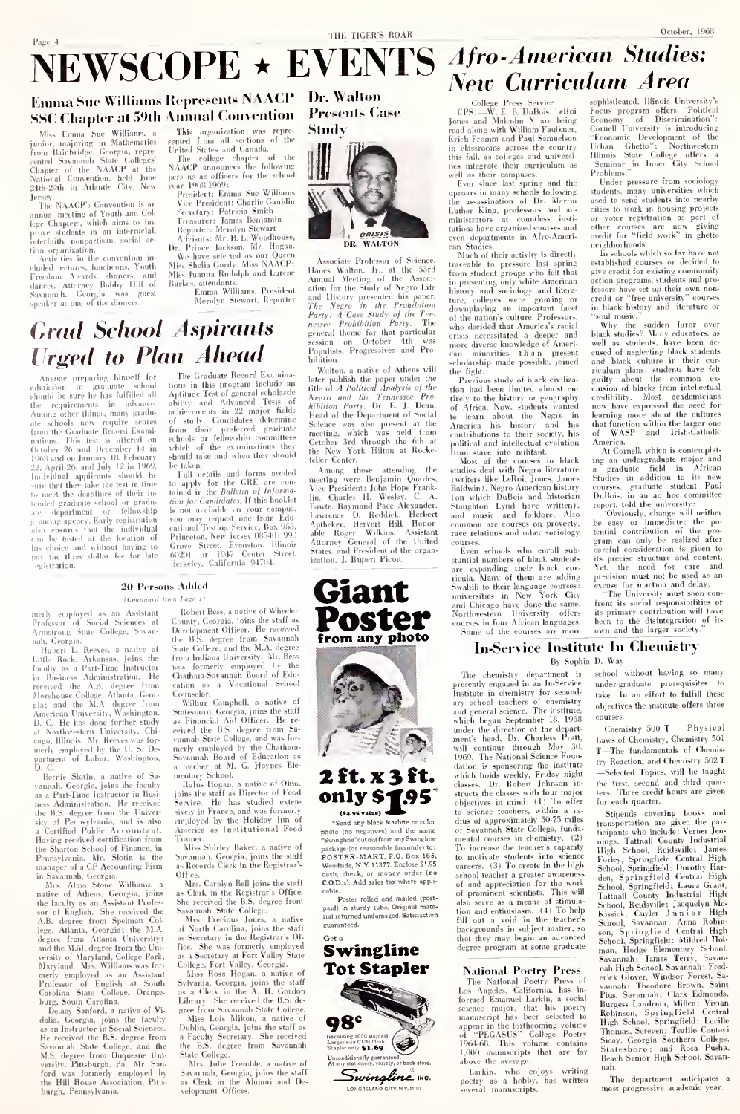## Page 4 NEWSCOPE \* EVENTS Afro-American Studies:

## Enuma Sue Williams Represents NAACP Dr. Walton SSC Chapter at 59th Annual Convention

**Grad School Aspirants** 

*Urged to Plan Ahead* 

scoper

The Miss Emma Sue Williams, a junior, majoring in Mathematics<br>from Bainhildge, Georgia, represented Savannah Siste Colleges<br>cented Savannah Siste Colleges<br>Chapter of the NAACP at the Nahibal Couvention, held built Jersey.<br>The NAACP's Convention is

annual meeting of Youth and College Chapters, which aims to improve students in an interrucial, nterfaith, nonpartison, social action organization

Activities in the convention in Activities in the convention in-<br>cluded lectures, luncheons, Youth<br>Freedom Awards, dinners, and<br>dances. Attorney Bobby Hill of<br>Savannuh. Georgia was guest speaker at one of the dinners

Anyone preparing himself for

admission to graduate school

the requirements in advance<br>Among other things, many gradu

ate schools now require scores

from the Graduate Reservi Exaministance (and December 26 and on January 18, 1968 and on January 18, 1969<br>22. April 26. and July 12. in 1969, 1968 and on January 18, 1968<br>sum that they have the second behavior of the secon

granting agency. Early registrati straining agency, Early individual<br>can be tested at the location of<br>this choice and without baving to

the three dollar fee for late

 $\bold{department}$ 

ieristration.

This organization was rans organization was repre-<br>rented from all sections of the<br>United States and Canada.

The college chapter of the<br>NAACP announces the following<br>persons as officers for the school<br>une 1060-1060.

year 1968-1969:<br>President: Emma Sue Willi Vice President: Charlie Gauldin

Vice President: Charlie Gauelli<br>Sevretary: Patricia Smith<br>Treasurer: James Benjamin<br>Reporter: Merolyn Stewart<br>Advisors: Mr. B. L. Woodhouse<br>r. Prince Jackson, Mr. Hogan

 $\mathbf{a}$ 

Dr. Prince Jackson, Mr. Hogaan.<br>We have selected as our Queen<br>Miss Shelia Gordy, Miss NAACP:<br>Miss Juanita Rudolph and Lurene<br>Burkes, attendants.<br>Emma Williams, President

Merolyn Stewart, Reporter

The Graduate Record Examina-

tions in this program include an<br>Aptitude Test of general scholastic<br>ability and Advanced Tests of

ability and Advanced Tests of<br>subjectments in 22 major fields<br>of study. Candidates determine<br>from their preferred graduate<br>schools or fellowship committees<br>which of the examinations they<br>hould take and when they should

spound take and when they showed<br>be taken.<br>The CRE are contained in the Bulletin of *Pulprima-*<br>tion for *Candidates*. If this hooklet

is not available on your camp

## **Presents Case** Study



Associate Professor of Science Annual Marine, Jr., at the 53rd<br>Annual Meeting of the Associ-<br>ation for the Study of Negro Life ation for the Study of Negro Lite<br>and listory presented his paper.<br>The Negro in the Prohibition<br>Party: A Case Study of the Tene<br>nessee Prohibition Party. The<br>general theme for that particular<br>session on Ortoher 4th was<br>se session on October 4th was<br>Populists, Progressives and Pro Lu<sub>p</sub>....

mmuon.<br>Walton, a native of Athens will<br>later publish the paper under the<br>title of A Political Analysis of the<br>Negro- and the Tennessee Pro-<br>hibition Party. Dr. E. J. Desn.<br>Head of the Department of Social Head of the Department of Social<br>Science was also present at the<br>meeting, which was held from<br>October 3rd through the 6th a<br>the New York Hilton at Rocke from feller Center

Among those attending the meeting were Benjamin Quarles<br>Vice President: John Hope Frank attending the Charles H. Wesley. C. T lin, Charles H. Wesley, C. A.<br>Bawte, Raymond Pace Alexander.<br>Lawrence D. Reddick. Herbert<br>Aptheker, Hervert Hill. Honor-<br>able Roger Wilkins, Assistant<br>Attorney General of the United<br>States. and President of the organization. J. Rupert Picott.

### 20 Persons Added

### Hampson J. Hans Parry

merly employed as an Assistant<br>Professor of Social Sciences at Arnistrong State College, Savan nah Centuin

Hubert L. Reeves, a native of Little Rock, Arkansas, joins the<br>forulty as a Part-Time Instructor<br>in Business Administration. He in Business Administrative. The Mercived the A.B. degree from<br>Morchouse College, Atlanta, Georgia; and the M.A. degree from<br>American University, Washington,<br>American University, Washington, D. C. He has done further study<br>at Northwestern University, Chi<br>cago, Illinois. Mr. Reeves was for espectrumois. Mr. Reeves was formerly employed by the U. S. Department of Labor, Washington, D. C.

D. C.<br>Bernie Slotin, a native of Samanah. Georgia, joins the faculty<br>as a Part-Time Instructor in Business Administration. He received the B.S. degree from the University of Pennsylvania, and is also<br>a Certified Public Accountant a Certificat Funne Arecuments<br>Having received certification from<br>the Sharton School of Finance, in the snarton school of Finance, in<br>Pennsylvania, Mr. Slotin is the<br>manager of a CP Accounting Firm

joins sor of English. She received the A.B. degree from Spelman Col<br>lege, Atlanta, Georgia: the M.A<br>degree from Atlanta University rege, Ananta, Georgia: tue 21.24<br>adgree from Atlanta University:<br>and the M.M. degree from the University:<br>versity of Maryland, College Park,<br>Maryland. Mrs. Williams was for-<br>merly employed as an Assistant Professor of English at South<br>Carolina State College, Orange hure, South Carolina

burg, South Carolina.<br>
Delay Sanford, a native of Vi-<br>
dalia, Georgia, joins the faculty<br>
as an Instructor in Social Sciences.<br>
He received the B.S. degree from<br>
Savannah State College, and the<br>
SAVAS degree from Dugnaring Savannan State Conege, and the<br>M.S. degree from Duquesne University, Pittsburgh, Pa. Mr. San-<br>ford was formerly employed by ford was formerly employed by<br>the Hill House Association, Pitts burgh, Pennsylvania

Robert Bess, a native of Wheeler Rohert Bess, an antive of Wheeler<br>County, Georgia, joins the staff as the staff as the correlay<br>near Officer. He recoived the staff as the state College, and the M.A. degree<br>stare College, and the M.A. degrees from Indiana Counselor

Wilhur Camphell, a native of Wither Campbell, a native of<br>Stateshoro, Georgia, joins the staff<br>as Financial Aid Officer. He re-<br>eviewed the B.S degree from Su-<br>vanual State College, and was for-<br>merly employed by the Clatharan-<br>Savannah Board of Educa School.

Rufus Hogan, a native of Ohio.<br>joins the staff as Director of Food pours use start as touceauf 01 F000<br>Service. He has studied exten<br>sively in France, and was formerly employed hy the Holiday Inn of<br>America as Institutional Food Tesin

Miss Shirley Baker, a native o Savannah, Georgia, joins the staff as Reo<br>Office.

Office.<br>Nics Carolyn Bell joins the staff<br>as Clerk in the Registrar's Office.<br>She received the B.S. degree from<br>Savannah State College.

Mrs. Precious Jones, a native<br>of North Carolina, joins the staff<br>as Secretary in the Registrar's Of

as Secretary in the Registrars Orleans<br>Figs. 1. She was formerly employed<br>as a Secretary at Fort Valley State<br>College, Fort Valley, Geergia.<br>Miss Rosa Hogan, a native of<br>Sylvania, Georgia, joins the staff<br>as a Clerk in the

Library. She received the B.S. de-<br>gree from Savannah State College.<br>Miss Lois Milton, a native of<br>Dublin, Georgia, joins the staff as<br>a Faculty Secretary. She received<br>the B.S. degree from Savannah e 13.5. uegree rrom Savannan<br>ate College.<br>Mrs. Julie Tremble, a native of Stat

one, June Tremple, a native of<br>Savannah, Georgia, joins the staff<br>as Clerk in the Alumni and De-<br>velopment Offices.



## 2 ft. x 3 ft. only \$195

Send any block is white or colo

photo (no n<br>"Swinghine" stues) and the name any Swington prosence (NART, P.O. Box 165,<br>Woodside, N Y, 11377. Enclose \$1.95<br>cash, check, or money order (no<br>C.O.D/s). Add sales tax where appli-

.<br>Poster rolled and mailed (post Poster roued and matted spot-<br>paid) in sturdy tube. Original mate-<br>rial returned undemaged. Satisfaction guaranteed



# **New Curriculum Area**

ollege Press Service<br>—W. E. B. DuBois. LeRoi  $CPS$ ). Jones and Malcolm X are heing<br>read along with William Faulkner,<br>Erich Fromm and Paul Samuelson in classrooms across the country<br>this fall, as colleges and universi

this fall, as colleges and universi-<br>ties integrate their curriculum as<br>well as their campuses,<br> $\text{Even}$  as their campuses,<br>the curriculum as<br>upcars in many schools following<br>the assassination of Dr. Martin<br>Luther King, pro tutions have organized courses an even departments in Afro-Ameriean n Studies.<br>Much of their activity is directly

traceable to pressure last spring<br>from student groups who felt that in presenting only white An white American litera ture, colleges were ignoring or<br>downplaying an important facet<br>of the nation's culture. Professors. of the nation's culture. Professors.<br>who decided that America's racial<br>crisis necessitated a deeper and<br>more diverse knowledge of American<br>can minorities the numerous<br>scholarship made possible, joined<br>scholarship made poss fight

ie tight.<br>Previous study of black civiliza tion had been limited almost en tirely to the history or geography<br>of Africa. Now, students wanted<br>to learn about the Negro in<br>America-his history and his<br>contributions to their society, his<br>political and intellectual evolution

political and intellectual evolution<br>from slave into militant.<br>Most of the courses in block<br>studies deal with Negro literature<br>(writers like LeRoi, Jones, James Baldwin), Negro American history Baldwin), Negro American history<br>(on which Duflois and historian<br>Staughton Lynd have written),<br>and music and folklore. Also<br>common are courses on proverty, race relations and other sociology

courses.<br>
Form schools who enroll sub-<br>
stantial numbers of hlack students<br>
are expanding their block curve<br>
rivala. Many of them are adding<br>
Swahili to their language courses<br>
universities in New York City<br>
universities i Some of the courses are

ophisticated. Illinois University's Focus program offers "Political<br>Economy of Discrimination": Economy of Discrimination":<br>Cornell University is introducing<br>"Economic Development of the<br>Urban Ghetto": Northwestern<br>"Similinois State College offers a<br>"Seminar in Inner City School<br>Problems."

Under pressure from sociology students, many universities which sed to send students into nearby used to send students into nearby<br>cities to work in housing projects or voter registration as part of<br>other courses are now giving<br>credit for "field work" in ghetto neighborhoods

guoornoous.<br>in schools which so far hav in schools what so it decided to<br>give credit for existing community<br>action programs, students and prohave set up their own non-<br>or "free university" courses fessors eredit or "free university" courses<br>in black history and literature or ul music

"soul music." <br> why the sudden furor over black stadies? Many educators, as well as students, have been accused of neglecting black students and black values in their curriculum plans: students have felt gaugity about the credihility. Most academicians hearning more about the cultures<br>that function within the larger one<br>of WASP and Irish-Catholic

merica.<br>At Cornell, which is contemplat ing an undergraduate major and<br>a graduate field in African<br>Studies in addition to its new

Studies in addition to 18 new Secures.<br>Coorses, graduate student Paul<br>DuBois, in an ad hoc committee<br>report, told the university:<br>Colviously, change will neither<br>be easy or immediate the po-<br>tential contribution of the pro gram can only be reamered atternation is given to<br>the precise structure and content.<br>Yet. the need for care and<br>precision must not be used as an even<br>events for inaction and delay.<br>The University must soon content.

front its social responsibilities or its primary contribution will have<br>been to the disintegration of its<br>own and the larger society."

## In-Service Institute In Chemistry

By Sophia D. Way

The chemistry department is<br>presently engaged in an In-Service presently engaged in an In-Service<br>matrix for second-<br>ary school technistry for second-<br>and general science. The institute, which hegean September 18, 1968<br>under the under the department of the department's head. Dr. Charl 1909. The National Science Foundation is sponsoring the institute<br>which holds weekly, Friday night<br>classes. Dr. Robert Johnson instructs the classes with four major structs the classes with tour major<br>objectives in mind: (1) To offer<br>to science teachers, within a ra-<br>dius of approximately 50-75 miles<br>of Savamah State College, fundatental courses in chemistry. (2) To increase the teacher's capacity to motivate students into science<br>careers. (3) To create in the high school teacher a greater awareness school teacher a greater awareness<br>of prominent scientists. This will<br>also serve as a means of stimula-<br>tion and enthusiasm. (4) To help<br>fill out a void in the teacher's backgrounds in subject matter, so that they may begin an advanced<br>degree program at some graduate

National Poetry Press<br>The National Poetry Press of<br>Los Angeles, California, has in-<br>ormed Emanuel Larkin, a social Los formed Emanuel Larkin, a social<br>science major, that his poetry<br>manuscript has been selected to useript has been selected to<br>"PEGASUS" College Poetry<br>168. This volume contains appear  $06168$ 1,000 manuscripts that are fax show the average.

Larkin who enjoys writing<br>poetry as a hobby, has written<br>several manuscripts.

school without having so many under-graduate prerequisites to<br>take. In an effort to fulfill these objectives the institute offers three

Chemistry 500 T - Physical Laws of Chemistry, Chemistry 501 T-The fundamentals of Chemis try Reaction, and Chemistry 502 T -Selected Topics, will be taught the first, second and third quar-<br>ters. Three credit hours are given for each quarter.

Singerda, covering books and in<br>Figura . The particular stress of the particles who include Verme Jennifer<br>and induce the particle of the particle of the particle of the particle of<br>the stress of the stress of the stress Stipends covering books and man, Hodge Liementary School, Savannah; Jumes Terry, Savannah; Frederick Glover, Windsor Forest, Savannah; Theodore Brown, Sainty vannah; Theodore Brown, Sainty Pita, Savannah; Theodore Brown, Sainty Pita, Savannah; Theodo rus, awannan; uaur comons,<br>Burgess Landrum, Millen: Vivian<br>Rohinson, Springfield Central<br>High School, Springfield; Lucille<br>Thomas, Screven; Teafile Contavi<br>Sicay, Georgia Southern College.<br>Stateshoro; and Rosa Pasha.<br>Beach nah

The department anticipates a most progressive academic year.

is not availante on your campus.<br>
you may request one from Edu-<br>
cational Testing Service, Box 955.<br>
Princeton. New Jersey 08540; 990<br>
Grave Street. Evanston. Illinois<br>
60201 or 1947 Center Street.<br>
Berkeley, California 94 Giant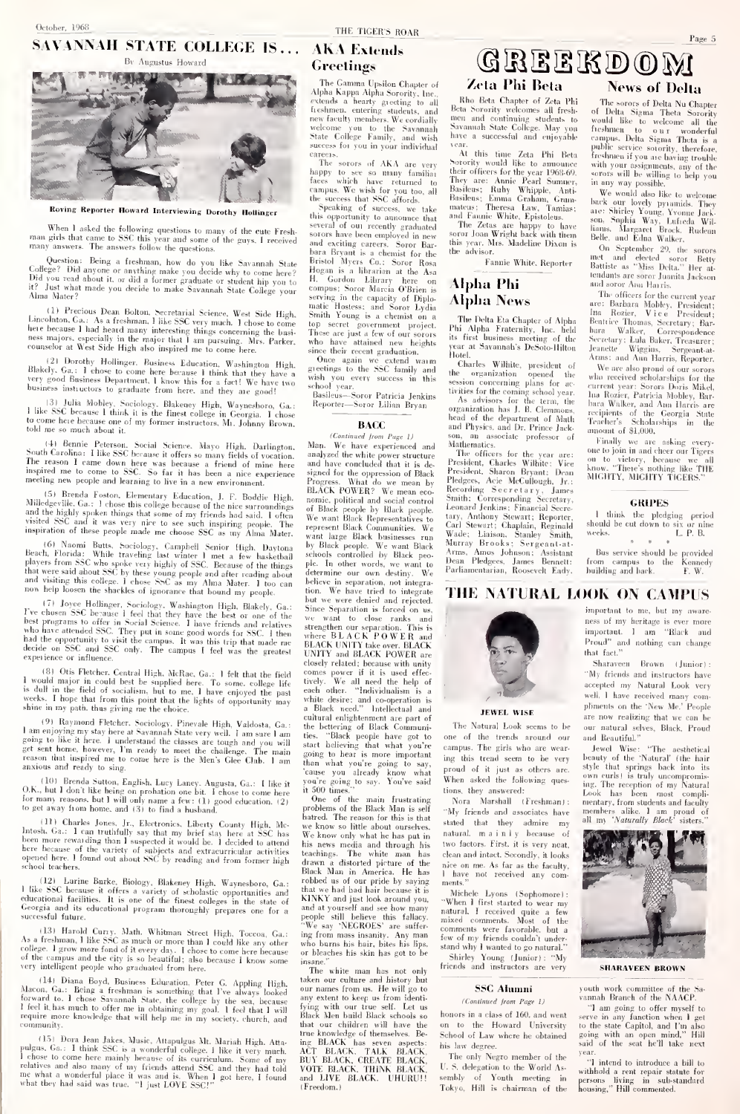# October. 1968.<br>
SAVANNAH STATE COLLEGE IS . . . AKA Extends



When I asked the following questions to many of the cute Fresh-<br>man girls that came to SSC this year and some of the guys. I received and ex-<br>many answers. The answers follow the questions.

Uuestion: Being a freshman, how do you like Savannah State Birl<br>College? Did anyone or anything make you decide why to come here? Ho<br>Did you read about it, or did a former graduate or student hip you to H.<br>H? Just what mad

(1) Precous Dean Bolton, Secretarial Science, West Side High, Smither, Ca.: As a freshman, 1like SSC very much. 1 chose to come top there because 1 had heard many interesting things concerning the busi-<br>ness majors, especi

(21 Derothy Hollinger, Business Education, Washington High. (3)<br>Blakely, Ga.: I chose to come here because 1 think that they have a wis<br>very good Business Department, 1 know this for a fact! We have two<br>business instructor

|.il Julia Mobley, Sociology. Blakeney High, Waynesboro, Ga.: <sup>I</sup> like SSC because <sup>I</sup> think it is the finest college in Georgia. <sup>I</sup>chose In come here because one of my former instructors, Mr. Johnny Brown, told me so much about it.

<sup>141</sup> Berne Peterson. Social Science. Mayo High, Davidson Caustin Carolina: 1 like SSC because it offers so many fields of vocation. and<br>more thermore was because a friend of mine here as the resonant inspired me to come

15) Brenda Foston. Elementary Education, J. F. Boddie High. no.<br>Milledgeville. Ga.: 1 chose this college because of the nice surroundings of and the highly spoken things that some of my friends had said. I often We'<br>visited SSC and it was very nice to see such inspiring people. The repr<br>inspiration of these people made me choose SSC as my Alma Mater. wan

(6) Alomii Butts, Suciology, Campleil Scavier High, Dayton, by<br>Beach, Florida: While traveling last winter 1 met a few haskednal schlassels<br>players from SSC who spoke very highly of SSC. Recause of the liting<br>players from

<sup>1</sup> (1) Jove Hollinger, Newidaing-Dringha, Blakely, Ga.: Singler Press, The Clement SC because 1 feel that they have the best of one of the weakly pregrams to offer in Navia Science. Thave triends and relatives strength ha

(8) Otis Fletcher. Central High, McRae, Ga.: 1 felt that the field<br>a would major in could best be supplied here. To some, college life tive<br>is dull in the field of socialism, but to me. I have enjoyed the past<br>weeks. I hop shine in my path, thus giving me the choic

(9) Raymond Fletcher, Sociology, Pinevale High, Valdosta, Ga.: Utile and enjoying my stay her at Navannah State very well. I am sure lame lies apply to like it here. I understand the classes are tough and you will start ex anxious and ready to sing.

(10) Erenda Sutton, English, Lucy Laney, Augusta, Ga.: I like it<br>O.K., but I don't like being on probation one bit. I chose to come here it.<br>for many reasons, but I will only name a few: (1) good education, (2)<br>to get away

<sup>111</sup> Charles Jones, Jr., Electronics, Liberty County High, Me-<br>
https://www.chiral.com/2011/2012/2012/2012/2012<br>
between more rewarding those poles and the collected in the beer more rewarding than I suspected it would be

school teachers.<br>
1 like SSC because is offstelligh, Waynesboro, Ga.: that SSC because is offstelligh, Waynesboro, Ga.: that<br>
chlucational facilities. If fers a variety of scholastic opportunities and<br>
chlucational facilit

<sup>1</sup> <sup>13</sup> <sup>1</sup> Harold Curry, .Math, Whitman Street High. Toccoa, Ga.: As <sup>a</sup> freshman, <sup>I</sup> like SSC as much or more than <sup>I</sup> could like any' other college, <sup>I</sup> grow more fond of it every day. <sup>I</sup>chose to come here because of the campus and the city is so beautiful; also because <sup>I</sup> know some very intelligent people who graduated from here.

(14) Diana Boyd, Basiness Education, Peter G. Appling High. takes the forward to 1 clone in the starting that I've always fooked any first properties and the starting the reduction of  $\mathbb{F}_{\mathbf{f}}$  is the close of the st

(151 Dora Jean Jakes, Masic, Attapulgaus Mt. Mariah High, Atta- ing<br>sulgas, Ga.: 1 think SSC is a wonderful college. 1 like it very much. ACT<br>clobes to come here mainly because of its curriculum. Some of my BiD<br>relatives a

## Greetings

The Gamma Upsilon Chapter of The Somma Cosmon Chapter of<br>Alpha Kappa Alpha Sorority, Inc.<br>extends a hearty greeting to al extends a hearty greeting to all freshmen, entering students, and new faculty members. We cordially welcome you to the Savanniah State College Family, and wish success for you in your individual careers. The sorors of AKA are

The sorors of AKA are very<br>happy to see so many familiar the<br>faces which have returned to The<br>campus. We wish for you too. all Ba<br>the success that SSC affords.

the success that NNC alfords.<br>Speaking of success, we take this opportunity to announce that several of our recently graduated sorors have been employed in new soror<br>and exciting careers. Soror Bar-<br>Bristol Myers Co.: Soror Rosa<br>Bristol Myers Co.: Soror Rosa<br>Hogan is a librarian at the Asa<br>H. Gardon Lilirary here on<br>employes Northern College of He top secret government project. Ph<br>These are just a few of our sorors its<br>who have attained new heights we

since their recent graduation. Hote<br>Once again we extend warm C<br>greetings to the SSC family and the wish you every success in this

school year.<br>Basileus—Soror Patricia Jenkins tiv Reporter-Soror Lilian Bryan

BACC and<br>(Continued from Page I) son<br>Man. We have experienced and Ma analyzed the white power structure<br>and have concluded that it is de-<br>signed for the oppression of Black<br>Progress. What do we mean by Ple<br>BLACK POWER? We mean economic, political and social control Corresponding Secreta<br>of Black people by Rlack people. Leonard Jenkins; Financial Sec of Black people by Black people. We want Black Representatives to represent Black Communities. We<br>want large Black businesses run represent Black Communities. We want large Black businesses run<br>by Black people. We want Black<br>schools controlled by Black peo-An<br>ple. In other words, we want to De ple. In other words, we want to Dean<br>determine our own destiny. We Parlia beli e in separation, not integra-<br>We have tried to integrate Since Separation is forced on us.<br>we want to close ranks and [ engthen our separation. This is<br>ere **BLACK POWER** and where BLACK POWER and BLACK UNITY take over. BLACK UNITY and BLACK POWER are closely related: because with unity comes power if it is used effec-tively. We all need the help of each other. "Individualism is a<br>white desire; and co-operation is<br>a Black need." Intellectual and cultural enlightenment are part of the bettering of Black Communi-<br>ties. "Black people have got to one<br>start believing that what you're ear<br>going to hear is more important ine than what you're going to say, 'cause you already know what you're going to say. You've said

it 500 times." tic<br>" One of the main frustrating<br>" problems of the Black Man is self hatred. The reason for this is that<br>we know so little about ourselves problems of the Black Man is self<br>that we know so little about ourselves.<br>We know so little about ourselves.<br>This news media and through his twe<br>teachings. The white man has de<br>drawn a distorted picture of the nix<br>Black Ma robbed us of our pride by saying that we had bad hair because itis KINKY and just look around you, and we nad nad nair because it is<br>KINKY and just look around you,<br>and at yourself and see how many people still believe this fallacy.<br>"We say 'NEGROES' are suffering from mass insanity. Any man<br>who burns his hair, bites his lips, stand<br>or bleaches his skin has got to be

insane." The white man has not only taken our culture and history but our names from us. He will go to any extent to keep us from identi-<br>fying with our true self. Let us<br>Black Men build Black schools so h that our children will have the true knowledge of themselves. Being BLACK has seven aspects: ACT BLACK. TALK BLACK, BUY BLACK, CREATE BLACK, VOTE BLACK. THINK BLACK, and LIVE BLACK. UHURU!! ( Freedom.)

## (aiaaniKiDOM Zeta Phi Beta<br><sup>Rho</sup> Ecta Chapter of Zeta Phi News of Deha

Kho Beta Chapter of Zeta Phi<br>Beta Sorority welcomes all fresh- of<br>men and continuing students to we<br>Savannah State College. May you - fit

avec a successful and enjoyable car<br>
At this time Zeta Phi Beta<br>
Avarority would like to amnounce with<br>
Avarority would like to amnounce where<br>
their officers for the year 1968-69.<br>
They are: Annie Pearl Summer, in 1<br>
Basi Basileus; Emma Graham, Graham, Graham, Emma Espistoleus.<br>and Fannie White, Epistoleus.

The Zelus are happy to have soror Jonn Wright back with them this year. Mrs. Madeline Dixon is the advisor

Fannie White. Reporter

## Alpha Phi Alpha News

The Delta Eta Cliapler of Alpha Phi Alpha Fraternity, Inc. held – ha<br>its first business meeting of the – Se<br>year at Savannah's DeSoto-Hilton – Je

Motel. Charles Wiliiite, president of the organization opened the <sub>w</sub><br>session concerning plans for ac-

tivities for the coming school year.  $\frac{1}{18}$  As advisors for the term, the  $\frac{1}{18}$  organization has J. B. Clemmons,  $\frac{1}{16}$ head of the department of Math Tea<br>and Physics, and Dr. Prince Jack- anne

son, an associate professor of Mathematics.<br>The officers for the year are: <sup>DHA</sup><br>President. Charles Wilhite; Vice<br>President. Sharon Bryant; Drean<br>Pledgees, Acie McCullough, Jr.: MI<sup>6</sup> Recording Secretary, James Smith; Corresponding Secretary, Leonard Jenkins; Financial Secre-tary, Anthony Stewart; Reporter, Carl Stewart; Chaplain, Reginald Wade; Liaison. Stanley Smith, Murray Brooks; Sergeant-at-Arms, Amos Johnson: Assistant Dean Pledgees. James Bennett Parliamentarian, Roosevelt Eady.

The sorors of Delta Nu Chapter<br>of Delta Sigma Theta Sorority<br>would like to welcome all the freshmen to our wonderful<br>campus. Delta Sigma Theta is a<br>public service sorority, therefore,<br>freshmen if you are having trouble with your assignments, any of the sorors will be willing to help you in any way possible.<br>We would also like to weld

We would also like to welcome back our lovely pyramids. They are; Sliirley Young, Yvonne Jack-son, Sophia Way, Lufreda Wil-liams. Margaret Brock. Rudean Belle, and Edna Walker.

On September 29. the sorors met and elected soror Betty Battiste as "Miss Delta." Her at-

enadusts are soror Juanits Jackson<br>suid soror Ann Harris.<br>The officers for the current year<br>ser: Barbara Mobley, President;<br>tra Rocker, Vice President;<br>Bentrice Thomas, Scoretary; Bar-<br>bara Walker, Teorspoudence<br>Sevetenry:

We are also proud of our sorors who received scholarships for the current year: Sorors Doris Mikel Ina Rozier, Patricia Mobley, Bar- bara Walker, and Ann Harris are recipients of the Georgia Stale Teacher's Scholarsliips in tlie ount of \$1,000.

Finally we are asking every- one to join in and cheer our Tigers on to victory, becousc we all know. "There's nothing like THE MIGHTY, MIGHTY TIGERS."

GRIPES<br>1 think the pledging period<br>should be cut down to six or nine-<br>weeks, L. P. B.

Bus service should be provided from campus to the Kennedy building and back. F. W.

## tion. We have tried to integrate THE NATURAL LOOK ON CAMPUS<br>but we were denied and rejected.



JEWEL WISE

THE THE SEE THE THE Natural Look seems to be our campus. The trends around our can<br>campus. The girls who are wearing this trend seem to be very proud of it just as others are. When asked the following questions, they answered

Nora Marshall (Freshman): "My friends and associates have stated that they admire my natural, mainly because of two factors. First, it is very neat, clean and intact. Secondly, it looks nice on me. As far as the faculty, it has the faculty.<br>
I have not received any com-<br>
I have not received any com-

ments."<br>"When I first started to wear my<br>"When I first started to wear my<br>natural. I received quite a few<br>mixed comments. Most of the comments were favorable, but a few of my friends couldn't understand why I wanted to go natural. Shirley Young (Junior): "My friends and instructors are very

> SSC Alumni fContinued from Page 1)

**SSC Alumni** youth work committee of  $(Continued from Page 1)$  wannah Branch of the NA bonors in a class of 160, and went  $\frac{1}{\sqrt{2}}$  and went serve in any function when on to the Howard University to the state Capitol, and I School of Law where he obtained his law degree.

The only Negro member of the V. S. delegation to the World As sembly of Youth meeting in Tokyo, Hill is chairman of the

**NATURAL LOOK OF CAMPUS**<br>  $\frac{1}{2}$  imputed to me, but my owner<br>  $\frac{1}{2}$  imputed to me, but my owner<br>  $\frac{1}{2}$  imputed  $\frac{1}{2}$  imputed  $\frac{1}{2}$  imputed  $\frac{1}{2}$  is a<br>  $\frac{1}{2}$  imputed and individue on  $\frac{1}{2}$  th **IOIN CABLE U.5**<br>
important to me, but my aware-<br>ness of my heritage is ever more<br>important. 1 am . "Block and important. <sup>I</sup>am "Black and Proud" and nothing can change that fact."

Sharaveen Brown (Junior): "My friends and instructors have accepted my Natural Look very well. I have received many compliments on the 'New Me.' People are now realizing that we can be our natural selves, Black, Proud

and Beautiful." Jewel Wise: "The aesthelical beauty of the 'Natural' (the hair<br>style that springs back into its<br>own curls) is truly uncompromis-<br>ing. The reception of my Natural<br>Look has been most compli-<br>mentary, from students and faculty members alike. I am proud of<br>all my *'Naturally Black'* sisters.''



SHARAVEEN BROWN

vsnnah Branch of the NAACI

"I am going to offer myself lo serve in any function when <sup>I</sup> gel to the slate Capitol, and I'm also "I am going to offer myself to<br>serve in any function when I get<br>to the state Capitol, and I'm also<br>going with an open mind," Hill<br>said of the seat he'll take next<br>year. year.

"I intend to introduce a bill t withhold a rent repair statute for persons living in sub-standard housing." Hill commented.